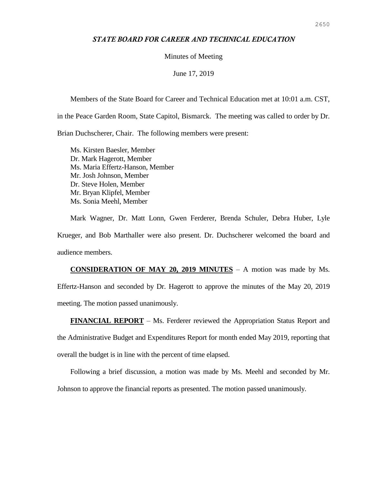## *STATE BOARD FOR CAREER AND TECHNICAL EDUCATION*

### Minutes of Meeting

## June 17, 2019

Members of the State Board for Career and Technical Education met at 10:01 a.m. CST,

in the Peace Garden Room, State Capitol, Bismarck. The meeting was called to order by Dr.

Brian Duchscherer, Chair. The following members were present:

Ms. Kirsten Baesler, Member Dr. Mark Hagerott, Member Ms. Maria Effertz-Hanson, Member Mr. Josh Johnson, Member Dr. Steve Holen, Member Mr. Bryan Klipfel, Member Ms. Sonia Meehl, Member

Mark Wagner, Dr. Matt Lonn, Gwen Ferderer, Brenda Schuler, Debra Huber, Lyle Krueger, and Bob Marthaller were also present. Dr. Duchscherer welcomed the board and audience members.

**CONSIDERATION OF MAY 20, 2019 MINUTES** – A motion was made by Ms. Effertz-Hanson and seconded by Dr. Hagerott to approve the minutes of the May 20, 2019 meeting. The motion passed unanimously.

**FINANCIAL REPORT** – Ms. Ferderer reviewed the Appropriation Status Report and the Administrative Budget and Expenditures Report for month ended May 2019, reporting that overall the budget is in line with the percent of time elapsed.

Following a brief discussion, a motion was made by Ms. Meehl and seconded by Mr.

Johnson to approve the financial reports as presented. The motion passed unanimously.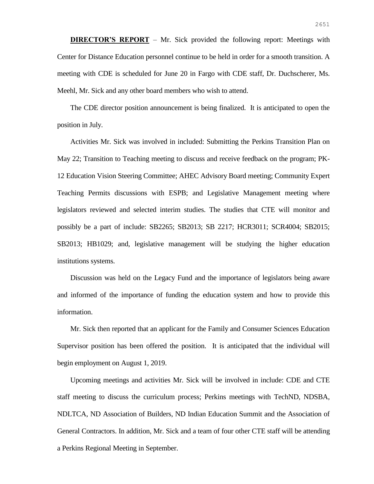**DIRECTOR'S REPORT** – Mr. Sick provided the following report: Meetings with Center for Distance Education personnel continue to be held in order for a smooth transition. A meeting with CDE is scheduled for June 20 in Fargo with CDE staff, Dr. Duchscherer, Ms. Meehl, Mr. Sick and any other board members who wish to attend.

The CDE director position announcement is being finalized. It is anticipated to open the position in July.

Activities Mr. Sick was involved in included: Submitting the Perkins Transition Plan on May 22; Transition to Teaching meeting to discuss and receive feedback on the program; PK-12 Education Vision Steering Committee; AHEC Advisory Board meeting; Community Expert Teaching Permits discussions with ESPB; and Legislative Management meeting where legislators reviewed and selected interim studies. The studies that CTE will monitor and possibly be a part of include: SB2265; SB2013; SB 2217; HCR3011; SCR4004; SB2015; SB2013; HB1029; and, legislative management will be studying the higher education institutions systems.

Discussion was held on the Legacy Fund and the importance of legislators being aware and informed of the importance of funding the education system and how to provide this information.

Mr. Sick then reported that an applicant for the Family and Consumer Sciences Education Supervisor position has been offered the position. It is anticipated that the individual will begin employment on August 1, 2019.

Upcoming meetings and activities Mr. Sick will be involved in include: CDE and CTE staff meeting to discuss the curriculum process; Perkins meetings with TechND, NDSBA, NDLTCA, ND Association of Builders, ND Indian Education Summit and the Association of General Contractors. In addition, Mr. Sick and a team of four other CTE staff will be attending a Perkins Regional Meeting in September.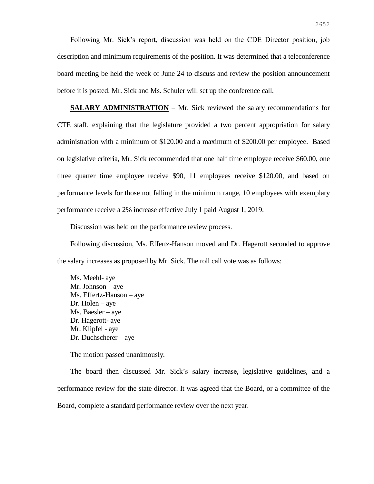Following Mr. Sick's report, discussion was held on the CDE Director position, job description and minimum requirements of the position. It was determined that a teleconference board meeting be held the week of June 24 to discuss and review the position announcement before it is posted. Mr. Sick and Ms. Schuler will set up the conference call.

**SALARY ADMINISTRATION** – Mr. Sick reviewed the salary recommendations for CTE staff, explaining that the legislature provided a two percent appropriation for salary administration with a minimum of \$120.00 and a maximum of \$200.00 per employee. Based on legislative criteria, Mr. Sick recommended that one half time employee receive \$60.00, one three quarter time employee receive \$90, 11 employees receive \$120.00, and based on performance levels for those not falling in the minimum range, 10 employees with exemplary performance receive a 2% increase effective July 1 paid August 1, 2019.

Discussion was held on the performance review process.

Following discussion, Ms. Effertz-Hanson moved and Dr. Hagerott seconded to approve the salary increases as proposed by Mr. Sick. The roll call vote was as follows:

Ms. Meehl- aye Mr. Johnson – aye Ms. Effertz-Hanson – aye Dr. Holen – aye Ms. Baesler – aye Dr. Hagerott- aye Mr. Klipfel - aye Dr. Duchscherer – aye

The motion passed unanimously.

The board then discussed Mr. Sick's salary increase, legislative guidelines, and a performance review for the state director. It was agreed that the Board, or a committee of the Board, complete a standard performance review over the next year.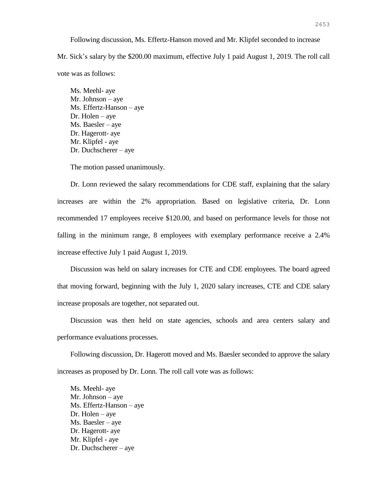Following discussion, Ms. Effertz-Hanson moved and Mr. Klipfel seconded to increase Mr. Sick's salary by the \$200.00 maximum, effective July 1 paid August 1, 2019. The roll call vote was as follows:

Ms. Meehl- aye Mr. Johnson – aye Ms. Effertz-Hanson – aye Dr. Holen – aye Ms. Baesler – aye Dr. Hagerott- aye Mr. Klipfel - aye Dr. Duchscherer – aye

The motion passed unanimously.

Dr. Lonn reviewed the salary recommendations for CDE staff, explaining that the salary increases are within the 2% appropriation. Based on legislative criteria, Dr. Lonn recommended 17 employees receive \$120.00, and based on performance levels for those not falling in the minimum range, 8 employees with exemplary performance receive a 2.4% increase effective July 1 paid August 1, 2019.

Discussion was held on salary increases for CTE and CDE employees. The board agreed that moving forward, beginning with the July 1, 2020 salary increases, CTE and CDE salary increase proposals are together, not separated out.

Discussion was then held on state agencies, schools and area centers salary and performance evaluations processes.

Following discussion, Dr. Hagerott moved and Ms. Baesler seconded to approve the salary increases as proposed by Dr. Lonn. The roll call vote was as follows:

Ms. Meehl- aye Mr. Johnson – aye Ms. Effertz-Hanson – aye Dr. Holen – aye Ms. Baesler – aye Dr. Hagerott- aye Mr. Klipfel - aye Dr. Duchscherer – aye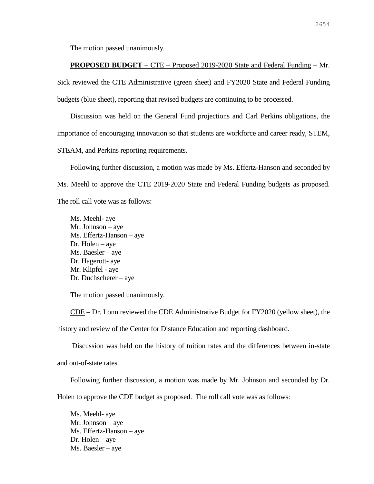The motion passed unanimously.

# **PROPOSED BUDGET** – CTE – Proposed 2019-2020 State and Federal Funding – Mr.

Sick reviewed the CTE Administrative (green sheet) and FY2020 State and Federal Funding budgets (blue sheet), reporting that revised budgets are continuing to be processed.

Discussion was held on the General Fund projections and Carl Perkins obligations, the importance of encouraging innovation so that students are workforce and career ready, STEM, STEAM, and Perkins reporting requirements.

Following further discussion, a motion was made by Ms. Effertz-Hanson and seconded by Ms. Meehl to approve the CTE 2019-2020 State and Federal Funding budgets as proposed. The roll call vote was as follows:

Ms. Meehl- aye Mr. Johnson – aye Ms. Effertz-Hanson – aye Dr. Holen – aye Ms. Baesler – aye Dr. Hagerott- aye Mr. Klipfel - aye Dr. Duchscherer – aye

The motion passed unanimously.

CDE – Dr. Lonn reviewed the CDE Administrative Budget for FY2020 (yellow sheet), the history and review of the Center for Distance Education and reporting dashboard.

Discussion was held on the history of tuition rates and the differences between in-state and out-of-state rates.

Following further discussion, a motion was made by Mr. Johnson and seconded by Dr.

Holen to approve the CDE budget as proposed. The roll call vote was as follows:

Ms. Meehl- aye Mr. Johnson – aye Ms. Effertz-Hanson – aye Dr. Holen – aye Ms. Baesler – aye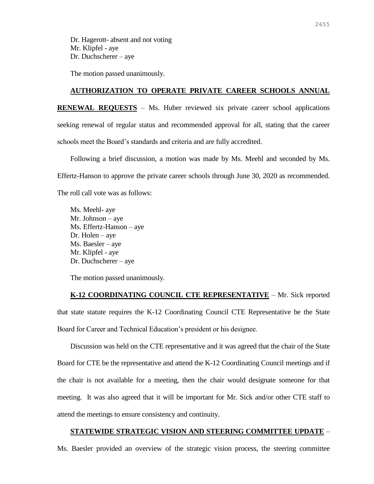Dr. Hagerott- absent and not voting Mr. Klipfel - aye Dr. Duchscherer – aye

The motion passed unanimously.

## **AUTHORIZATION TO OPERATE PRIVATE CAREER SCHOOLS ANNUAL**

**RENEWAL REQUESTS** – Ms. Huber reviewed six private career school applications seeking renewal of regular status and recommended approval for all, stating that the career schools meet the Board's standards and criteria and are fully accredited.

Following a brief discussion, a motion was made by Ms. Meehl and seconded by Ms. Effertz-Hanson to approve the private career schools through June 30, 2020 as recommended. The roll call vote was as follows:

Ms. Meehl- aye Mr. Johnson – aye Ms. Effertz-Hanson – aye Dr. Holen – aye Ms. Baesler – aye Mr. Klipfel - aye Dr. Duchscherer – aye

The motion passed unanimously.

**K-12 COORDINATING COUNCIL CTE REPRESENTATIVE** – Mr. Sick reported that state statute requires the K-12 Coordinating Council CTE Representative be the State Board for Career and Technical Education's president or his designee.

Discussion was held on the CTE representative and it was agreed that the chair of the State Board for CTE be the representative and attend the K-12 Coordinating Council meetings and if the chair is not available for a meeting, then the chair would designate someone for that meeting. It was also agreed that it will be important for Mr. Sick and/or other CTE staff to attend the meetings to ensure consistency and continuity.

### **STATEWIDE STRATEGIC VISION AND STEERING COMMITTEE UPDATE** –

Ms. Baesler provided an overview of the strategic vision process, the steering committee